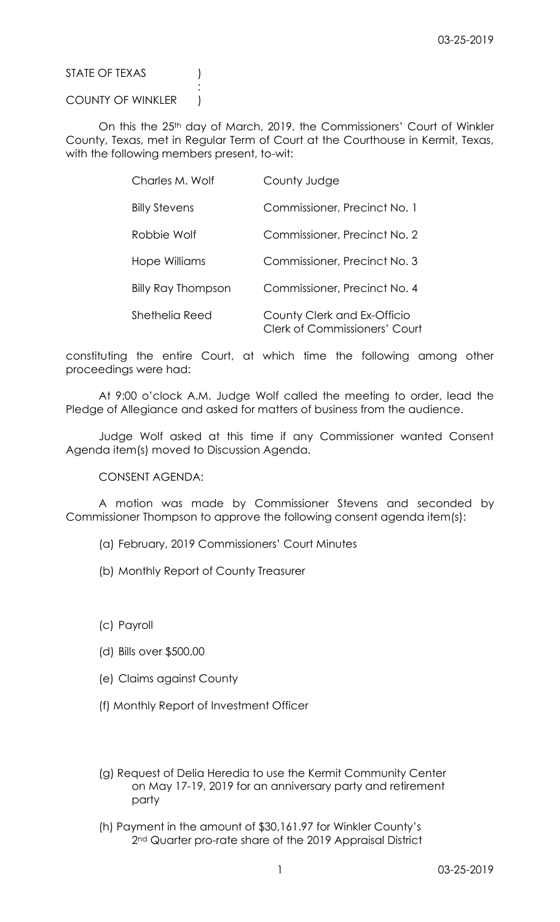STATE OF TEXAS (1)

## COUNTY OF WINKLER )

:

On this the 25<sup>th</sup> day of March, 2019, the Commissioners' Court of Winkler County, Texas, met in Regular Term of Court at the Courthouse in Kermit, Texas, with the following members present, to-wit:

| Charles M. Wolf      | County Judge                                                        |
|----------------------|---------------------------------------------------------------------|
| <b>Billy Stevens</b> | Commissioner, Precinct No. 1                                        |
| Robbie Wolf          | Commissioner, Precinct No. 2                                        |
| Hope Williams        | Commissioner, Precinct No. 3                                        |
| Billy Ray Thompson   | Commissioner, Precinct No. 4                                        |
| Shethelia Reed       | County Clerk and Ex-Officio<br><b>Clerk of Commissioners' Court</b> |

constituting the entire Court, at which time the following among other proceedings were had:

At 9:00 o'clock A.M. Judge Wolf called the meeting to order, lead the Pledge of Allegiance and asked for matters of business from the audience.

Judge Wolf asked at this time if any Commissioner wanted Consent Agenda item(s) moved to Discussion Agenda.

CONSENT AGENDA:

A motion was made by Commissioner Stevens and seconded by Commissioner Thompson to approve the following consent agenda item(s):

- (a) February, 2019 Commissioners' Court Minutes
- (b) Monthly Report of County Treasurer
- (c) Payroll
- (d) Bills over \$500.00
- (e) Claims against County
- (f) Monthly Report of Investment Officer
- (g) Request of Delia Heredia to use the Kermit Community Center on May 17-19, 2019 for an anniversary party and retirement party
- (h) Payment in the amount of \$30,161.97 for Winkler County's 2<sup>nd</sup> Quarter pro-rate share of the 2019 Appraisal District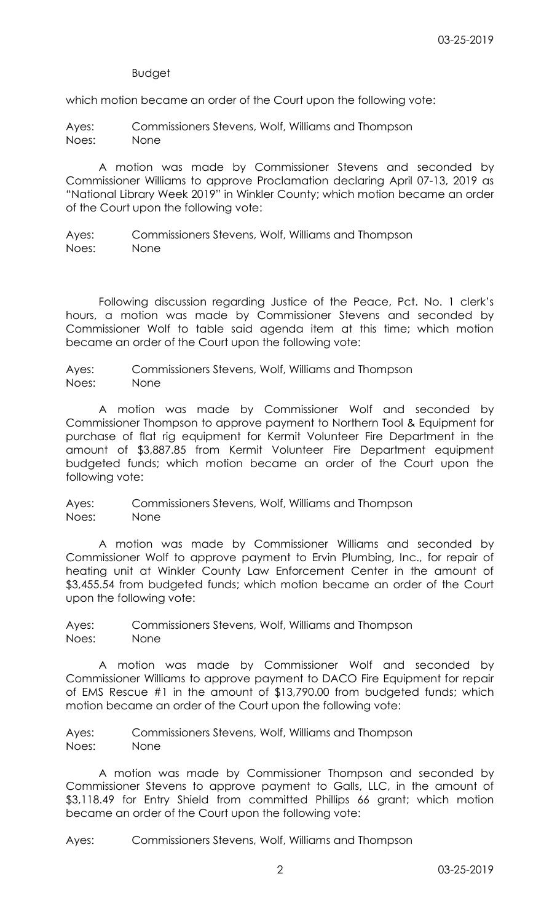Budget

which motion became an order of the Court upon the following vote:

Ayes: Commissioners Stevens, Wolf, Williams and Thompson Noes: None

A motion was made by Commissioner Stevens and seconded by Commissioner Williams to approve Proclamation declaring April 07-13, 2019 as "National Library Week 2019" in Winkler County; which motion became an order of the Court upon the following vote:

Ayes: Commissioners Stevens, Wolf, Williams and Thompson Noes: None

Following discussion regarding Justice of the Peace, Pct. No. 1 clerk's hours, a motion was made by Commissioner Stevens and seconded by Commissioner Wolf to table said agenda item at this time; which motion became an order of the Court upon the following vote:

Ayes: Commissioners Stevens, Wolf, Williams and Thompson Noes: None

A motion was made by Commissioner Wolf and seconded by Commissioner Thompson to approve payment to Northern Tool & Equipment for purchase of flat rig equipment for Kermit Volunteer Fire Department in the amount of \$3,887.85 from Kermit Volunteer Fire Department equipment budgeted funds; which motion became an order of the Court upon the following vote:

Ayes: Commissioners Stevens, Wolf, Williams and Thompson Noes: None

A motion was made by Commissioner Williams and seconded by Commissioner Wolf to approve payment to Ervin Plumbing, Inc., for repair of heating unit at Winkler County Law Enforcement Center in the amount of \$3,455.54 from budgeted funds; which motion became an order of the Court upon the following vote:

Ayes: Commissioners Stevens, Wolf, Williams and Thompson Noes: None

A motion was made by Commissioner Wolf and seconded by Commissioner Williams to approve payment to DACO Fire Equipment for repair of EMS Rescue #1 in the amount of \$13,790.00 from budgeted funds; which motion became an order of the Court upon the following vote:

Ayes: Commissioners Stevens, Wolf, Williams and Thompson Noes: None

A motion was made by Commissioner Thompson and seconded by Commissioner Stevens to approve payment to Galls, LLC, in the amount of \$3,118.49 for Entry Shield from committed Phillips 66 grant; which motion became an order of the Court upon the following vote:

Ayes: Commissioners Stevens, Wolf, Williams and Thompson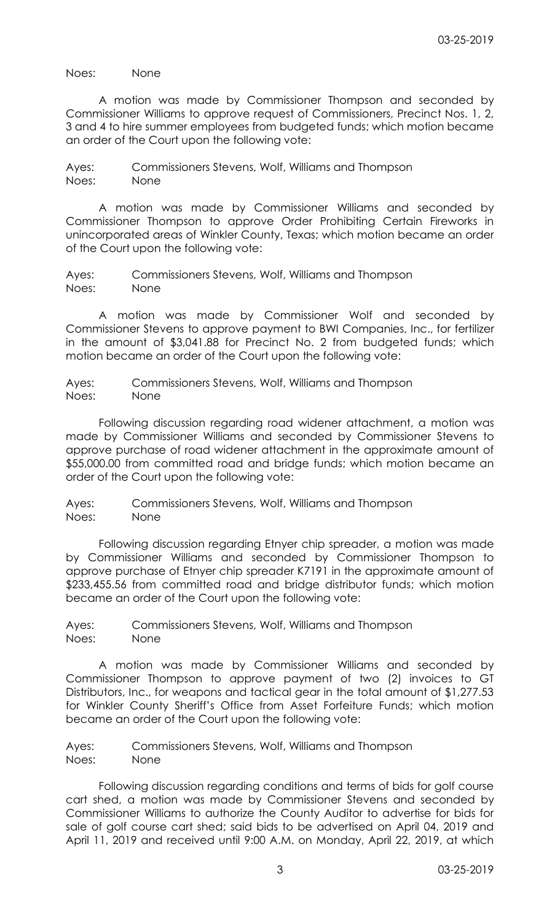Noes: None

A motion was made by Commissioner Thompson and seconded by Commissioner Williams to approve request of Commissioners, Precinct Nos. 1, 2, 3 and 4 to hire summer employees from budgeted funds; which motion became an order of the Court upon the following vote:

Ayes: Commissioners Stevens, Wolf, Williams and Thompson Noes: None

A motion was made by Commissioner Williams and seconded by Commissioner Thompson to approve Order Prohibiting Certain Fireworks in unincorporated areas of Winkler County, Texas; which motion became an order of the Court upon the following vote:

Ayes: Commissioners Stevens, Wolf, Williams and Thompson Noes: None

A motion was made by Commissioner Wolf and seconded by Commissioner Stevens to approve payment to BWI Companies, Inc., for fertilizer in the amount of \$3,041.88 for Precinct No. 2 from budgeted funds; which motion became an order of the Court upon the following vote:

Ayes: Commissioners Stevens, Wolf, Williams and Thompson Noes: None

Following discussion regarding road widener attachment, a motion was made by Commissioner Williams and seconded by Commissioner Stevens to approve purchase of road widener attachment in the approximate amount of \$55,000.00 from committed road and bridge funds; which motion became an order of the Court upon the following vote:

Ayes: Commissioners Stevens, Wolf, Williams and Thompson Noes: None

Following discussion regarding Etnyer chip spreader, a motion was made by Commissioner Williams and seconded by Commissioner Thompson to approve purchase of Etnyer chip spreader K7191 in the approximate amount of \$233,455.56 from committed road and bridge distributor funds; which motion became an order of the Court upon the following vote:

Ayes: Commissioners Stevens, Wolf, Williams and Thompson Noes: None

A motion was made by Commissioner Williams and seconded by Commissioner Thompson to approve payment of two (2) invoices to GT Distributors, Inc., for weapons and tactical gear in the total amount of \$1,277.53 for Winkler County Sheriff's Office from Asset Forfeiture Funds; which motion became an order of the Court upon the following vote:

Ayes: Commissioners Stevens, Wolf, Williams and Thompson Noes: None

Following discussion regarding conditions and terms of bids for golf course cart shed, a motion was made by Commissioner Stevens and seconded by Commissioner Williams to authorize the County Auditor to advertise for bids for sale of golf course cart shed; said bids to be advertised on April 04, 2019 and April 11, 2019 and received until 9:00 A.M. on Monday, April 22, 2019, at which